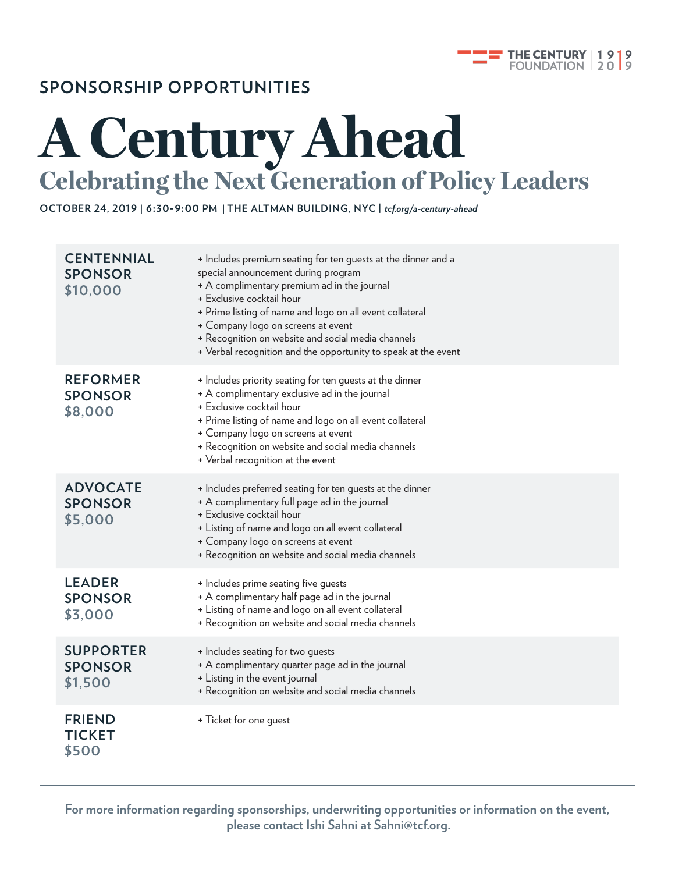

### **SPONSORSHIP OPPORTUNITIES**

## **A Century Ahead Celebrating the Next Generation of Policy Leaders**

**OCTOBER 24, 2019 | 6:30-9:00 PM** | **THE ALTMAN BUILDING, NYC |** *tcf.org/a-century-ahead*

| <b>CENTENNIAL</b><br><b>SPONSOR</b><br>\$10,000 | + Includes premium seating for ten guests at the dinner and a<br>special announcement during program<br>+ A complimentary premium ad in the journal<br>+ Exclusive cocktail hour<br>+ Prime listing of name and logo on all event collateral<br>+ Company logo on screens at event<br>+ Recognition on website and social media channels<br>+ Verbal recognition and the opportunity to speak at the event |
|-------------------------------------------------|------------------------------------------------------------------------------------------------------------------------------------------------------------------------------------------------------------------------------------------------------------------------------------------------------------------------------------------------------------------------------------------------------------|
| <b>REFORMER</b><br><b>SPONSOR</b><br>\$8,000    | + Includes priority seating for ten guests at the dinner<br>+ A complimentary exclusive ad in the journal<br>+ Exclusive cocktail hour<br>+ Prime listing of name and logo on all event collateral<br>+ Company logo on screens at event<br>+ Recognition on website and social media channels<br>+ Verbal recognition at the event                                                                        |
| <b>ADVOCATE</b><br><b>SPONSOR</b><br>\$5,000    | + Includes preferred seating for ten guests at the dinner<br>+ A complimentary full page ad in the journal<br>+ Exclusive cocktail hour<br>+ Listing of name and logo on all event collateral<br>+ Company logo on screens at event<br>+ Recognition on website and social media channels                                                                                                                  |
| <b>LEADER</b><br><b>SPONSOR</b><br>\$3,000      | + Includes prime seating five guests<br>+ A complimentary half page ad in the journal<br>+ Listing of name and logo on all event collateral<br>+ Recognition on website and social media channels                                                                                                                                                                                                          |
| <b>SUPPORTER</b><br><b>SPONSOR</b><br>\$1,500   | + Includes seating for two guests<br>+ A complimentary quarter page ad in the journal<br>+ Listing in the event journal<br>+ Recognition on website and social media channels                                                                                                                                                                                                                              |
| <b>FRIEND</b><br><b>TICKET</b><br>\$500         | + Ticket for one guest                                                                                                                                                                                                                                                                                                                                                                                     |

**For more information regarding sponsorships, underwriting opportunities or information on the event, please contact Ishi Sahni at Sahni@tcf.org.**